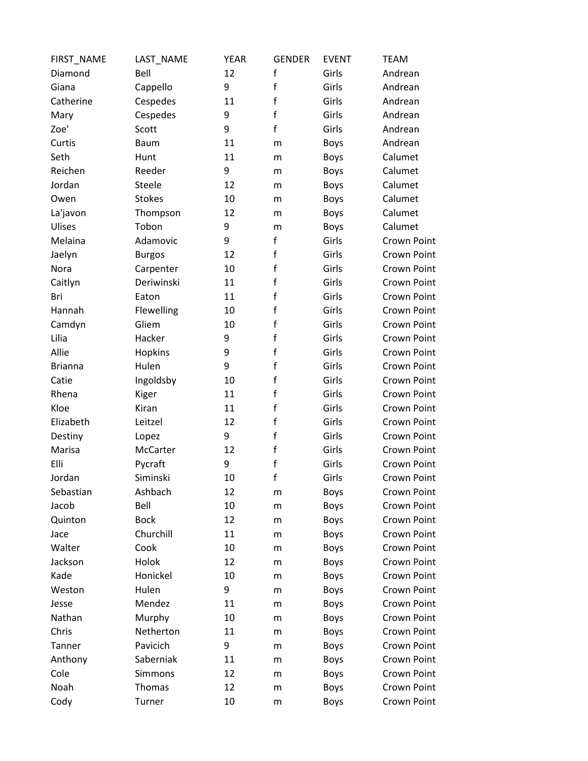| FIRST_NAME     | LAST_NAME     | <b>YEAR</b> | <b>GENDER</b> | <b>EVENT</b> | <b>TEAM</b>        |
|----------------|---------------|-------------|---------------|--------------|--------------------|
| Diamond        | Bell          | 12          | $\mathsf{f}$  | Girls        | Andrean            |
| Giana          | Cappello      | 9           | $\mathsf f$   | Girls        | Andrean            |
| Catherine      | Cespedes      | 11          | $\mathsf f$   | Girls        | Andrean            |
| Mary           | Cespedes      | 9           | $\mathsf{f}$  | Girls        | Andrean            |
| Zoe'           | Scott         | 9           | $\mathbf{f}$  | Girls        | Andrean            |
| Curtis         | <b>Baum</b>   | 11          | m             | <b>Boys</b>  | Andrean            |
| Seth           | Hunt          | 11          | m             | <b>Boys</b>  | Calumet            |
| Reichen        | Reeder        | 9           | m             | <b>Boys</b>  | Calumet            |
| Jordan         | Steele        | 12          | m             | <b>Boys</b>  | Calumet            |
| Owen           | <b>Stokes</b> | 10          | m             | <b>Boys</b>  | Calumet            |
| La'javon       | Thompson      | 12          | m             | <b>Boys</b>  | Calumet            |
| Ulises         | Tobon         | 9           | m             | <b>Boys</b>  | Calumet            |
| Melaina        | Adamovic      | 9           | $\mathsf f$   | Girls        | <b>Crown Point</b> |
| Jaelyn         | <b>Burgos</b> | 12          | $\mathsf f$   | Girls        | <b>Crown Point</b> |
| Nora           | Carpenter     | 10          | $\mathsf f$   | Girls        | <b>Crown Point</b> |
| Caitlyn        | Deriwinski    | 11          | $\mathsf f$   | Girls        | <b>Crown Point</b> |
| Bri            | Eaton         | 11          | $\mathsf f$   | Girls        | <b>Crown Point</b> |
| Hannah         | Flewelling    | 10          | $\mathsf f$   | Girls        | <b>Crown Point</b> |
| Camdyn         | Gliem         | 10          | $\mathsf f$   | Girls        | <b>Crown Point</b> |
| Lilia          | Hacker        | 9           | $\mathsf f$   | Girls        | <b>Crown Point</b> |
| Allie          | Hopkins       | 9           | $\mathsf f$   | Girls        | <b>Crown Point</b> |
| <b>Brianna</b> | Hulen         | 9           | $\mathsf{f}$  | Girls        | <b>Crown Point</b> |
| Catie          | Ingoldsby     | 10          | $\mathsf f$   | Girls        | <b>Crown Point</b> |
| Rhena          | Kiger         | 11          | $\mathsf f$   | Girls        | <b>Crown Point</b> |
| Kloe           | Kiran         | 11          | $\mathsf f$   | Girls        | <b>Crown Point</b> |
| Elizabeth      | Leitzel       | 12          | $\mathsf f$   | Girls        | <b>Crown Point</b> |
| Destiny        | Lopez         | 9           | $\mathsf f$   | Girls        | <b>Crown Point</b> |
| Marisa         | McCarter      | 12          | $\mathsf f$   | Girls        | <b>Crown Point</b> |
| Elli           | Pycraft       | 9           | $\mathsf f$   | Girls        | <b>Crown Point</b> |
| Jordan         | Siminski      | 10          | $\mathsf f$   | Girls        | <b>Crown Point</b> |
| Sebastian      | Ashbach       | 12          | m             | <b>Boys</b>  | <b>Crown Point</b> |
| Jacob          | Bell          | 10          | m             | <b>Boys</b>  | <b>Crown Point</b> |
| Quinton        | <b>Bock</b>   | 12          | m             | <b>Boys</b>  | <b>Crown Point</b> |
| Jace           | Churchill     | 11          | m             | <b>Boys</b>  | <b>Crown Point</b> |
| Walter         | Cook          | 10          | m             | <b>Boys</b>  | <b>Crown Point</b> |
| Jackson        | Holok         | 12          | m             | <b>Boys</b>  | <b>Crown Point</b> |
| Kade           | Honickel      | 10          | m             | <b>Boys</b>  | <b>Crown Point</b> |
| Weston         | Hulen         | 9           | m             | <b>Boys</b>  | <b>Crown Point</b> |
| Jesse          | Mendez        | 11          | m             | <b>Boys</b>  | <b>Crown Point</b> |
| Nathan         | Murphy        | 10          | m             | <b>Boys</b>  | <b>Crown Point</b> |
| Chris          | Netherton     | 11          | m             | Boys         | <b>Crown Point</b> |
| Tanner         | Pavicich      | 9           | m             | <b>Boys</b>  | <b>Crown Point</b> |
| Anthony        | Saberniak     | 11          | m             | <b>Boys</b>  | <b>Crown Point</b> |
| Cole           | Simmons       | 12          | m             | <b>Boys</b>  | <b>Crown Point</b> |
| Noah           | Thomas        | 12          | m             | <b>Boys</b>  | <b>Crown Point</b> |
| Cody           | Turner        | 10          | m             | <b>Boys</b>  | Crown Point        |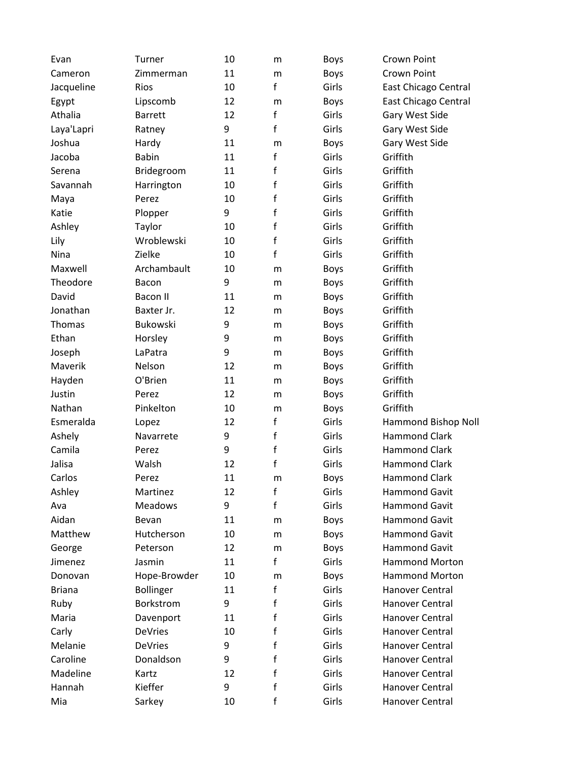| Evan          | Turner           | 10 | m           | <b>Boys</b> | Crown Point           |
|---------------|------------------|----|-------------|-------------|-----------------------|
| Cameron       | Zimmerman        | 11 | m           | <b>Boys</b> | <b>Crown Point</b>    |
| Jacqueline    | Rios             | 10 | f           | Girls       | East Chicago Central  |
| Egypt         | Lipscomb         | 12 | m           | <b>Boys</b> | East Chicago Central  |
| Athalia       | <b>Barrett</b>   | 12 | f           | Girls       | Gary West Side        |
| Laya'Lapri    | Ratney           | 9  | f           | Girls       | Gary West Side        |
| Joshua        | Hardy            | 11 | m           | <b>Boys</b> | Gary West Side        |
| Jacoba        | <b>Babin</b>     | 11 | f           | Girls       | Griffith              |
| Serena        | Bridegroom       | 11 | f           | Girls       | Griffith              |
| Savannah      | Harrington       | 10 | f           | Girls       | Griffith              |
| Maya          | Perez            | 10 | f           | Girls       | Griffith              |
| Katie         | Plopper          | 9  | f           | Girls       | Griffith              |
| Ashley        | Taylor           | 10 | $\mathsf f$ | Girls       | Griffith              |
| Lily          | Wroblewski       | 10 | f           | Girls       | Griffith              |
| Nina          | Zielke           | 10 | f           | Girls       | Griffith              |
| Maxwell       | Archambault      | 10 | m           | <b>Boys</b> | Griffith              |
| Theodore      | Bacon            | 9  | m           | <b>Boys</b> | Griffith              |
| David         | <b>Bacon II</b>  | 11 | m           | <b>Boys</b> | Griffith              |
| Jonathan      | Baxter Jr.       | 12 | m           | <b>Boys</b> | Griffith              |
| Thomas        | <b>Bukowski</b>  | 9  | m           | <b>Boys</b> | Griffith              |
| Ethan         | Horsley          | 9  | m           | <b>Boys</b> | Griffith              |
| Joseph        | LaPatra          | 9  | m           | <b>Boys</b> | Griffith              |
| Maverik       | Nelson           | 12 | m           | <b>Boys</b> | Griffith              |
| Hayden        | O'Brien          | 11 | m           | <b>Boys</b> | Griffith              |
| Justin        | Perez            | 12 | m           | <b>Boys</b> | Griffith              |
| Nathan        | Pinkelton        | 10 | m           | <b>Boys</b> | Griffith              |
| Esmeralda     | Lopez            | 12 | f           | Girls       | Hammond Bishop Noll   |
| Ashely        | Navarrete        | 9  | $\mathsf f$ | Girls       | <b>Hammond Clark</b>  |
| Camila        | Perez            | 9  | f           | Girls       | <b>Hammond Clark</b>  |
| Jalisa        | Walsh            | 12 | f           | Girls       | <b>Hammond Clark</b>  |
| Carlos        | Perez            | 11 | m           | <b>Boys</b> | <b>Hammond Clark</b>  |
| Ashley        | Martinez         | 12 | f           | Girls       | <b>Hammond Gavit</b>  |
| Ava           | <b>Meadows</b>   | 9  | f           | Girls       | <b>Hammond Gavit</b>  |
| Aidan         | Bevan            | 11 | m           | <b>Boys</b> | Hammond Gavit         |
| Matthew       | Hutcherson       | 10 | m           | <b>Boys</b> | <b>Hammond Gavit</b>  |
| George        | Peterson         | 12 | m           | <b>Boys</b> | <b>Hammond Gavit</b>  |
| Jimenez       | Jasmin           | 11 | f           | Girls       | <b>Hammond Morton</b> |
| Donovan       | Hope-Browder     | 10 | m           | <b>Boys</b> | <b>Hammond Morton</b> |
| <b>Briana</b> | <b>Bollinger</b> | 11 | f           | Girls       | Hanover Central       |
| Ruby          | Borkstrom        | 9  | f           | Girls       | Hanover Central       |
| Maria         | Davenport        | 11 | f           | Girls       | Hanover Central       |
| Carly         | <b>DeVries</b>   | 10 | f           | Girls       | Hanover Central       |
| Melanie       | <b>DeVries</b>   | 9  | f           | Girls       | Hanover Central       |
| Caroline      | Donaldson        | 9  | f           | Girls       | Hanover Central       |
| Madeline      | Kartz            | 12 | f           | Girls       | Hanover Central       |
| Hannah        | Kieffer          | 9  | f           | Girls       | Hanover Central       |
| Mia           | Sarkey           | 10 | f           | Girls       | Hanover Central       |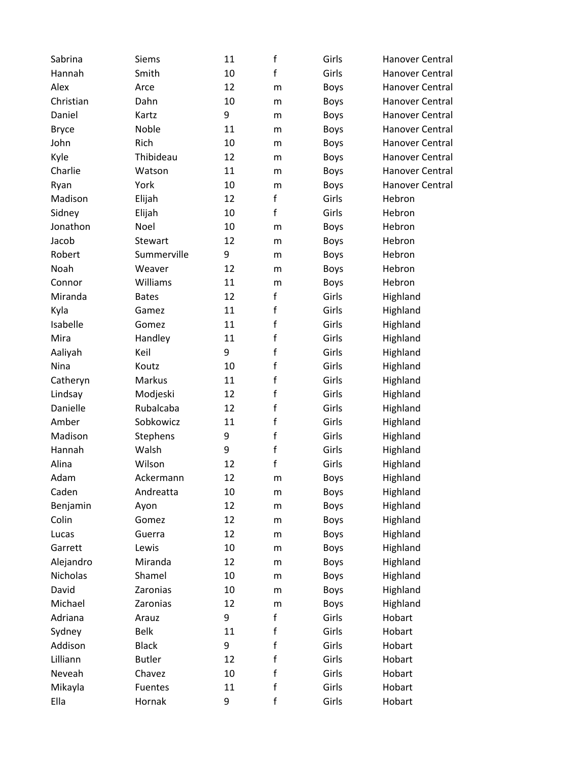| Sabrina      | Siems         | 11 | $\mathbf f$ | Girls       | <b>Hanover Central</b> |
|--------------|---------------|----|-------------|-------------|------------------------|
| Hannah       | Smith         | 10 | f           | Girls       | <b>Hanover Central</b> |
| Alex         | Arce          | 12 | m           | <b>Boys</b> | Hanover Central        |
| Christian    | Dahn          | 10 | m           | <b>Boys</b> | <b>Hanover Central</b> |
| Daniel       | Kartz         | 9  | m           | <b>Boys</b> | <b>Hanover Central</b> |
| <b>Bryce</b> | Noble         | 11 | m           | <b>Boys</b> | <b>Hanover Central</b> |
| John         | Rich          | 10 | m           | <b>Boys</b> | <b>Hanover Central</b> |
| Kyle         | Thibideau     | 12 | m           | <b>Boys</b> | <b>Hanover Central</b> |
| Charlie      | Watson        | 11 | m           | <b>Boys</b> | Hanover Central        |
| Ryan         | York          | 10 | m           | <b>Boys</b> | Hanover Central        |
| Madison      | Elijah        | 12 | $\mathsf f$ | Girls       | Hebron                 |
| Sidney       | Elijah        | 10 | f           | Girls       | Hebron                 |
| Jonathon     | Noel          | 10 | m           | <b>Boys</b> | Hebron                 |
| Jacob        | Stewart       | 12 | m           | <b>Boys</b> | Hebron                 |
| Robert       | Summerville   | 9  | m           | <b>Boys</b> | Hebron                 |
| Noah         | Weaver        | 12 | m           | <b>Boys</b> | Hebron                 |
| Connor       | Williams      | 11 | m           | <b>Boys</b> | Hebron                 |
| Miranda      | <b>Bates</b>  | 12 | f           | Girls       | Highland               |
| Kyla         | Gamez         | 11 | $\mathsf f$ | Girls       | Highland               |
| Isabelle     | Gomez         | 11 | $\mathsf f$ | Girls       | Highland               |
| Mira         | Handley       | 11 | $\mathsf f$ | Girls       | Highland               |
| Aaliyah      | Keil          | 9  | $\mathsf f$ | Girls       | Highland               |
| Nina         | Koutz         | 10 | $\mathsf f$ | Girls       | Highland               |
| Catheryn     | Markus        | 11 | $\mathsf f$ | Girls       | Highland               |
| Lindsay      | Modjeski      | 12 | $\mathsf f$ | Girls       | Highland               |
| Danielle     | Rubalcaba     | 12 | $\mathsf f$ | Girls       | Highland               |
| Amber        | Sobkowicz     | 11 | $\mathsf f$ | Girls       | Highland               |
| Madison      | Stephens      | 9  | $\mathsf f$ | Girls       | Highland               |
| Hannah       | Walsh         | 9  | $\mathsf f$ | Girls       | Highland               |
| Alina        | Wilson        | 12 | $\mathsf f$ | Girls       | Highland               |
| Adam         | Ackermann     | 12 | m           | <b>Boys</b> | Highland               |
| Caden        | Andreatta     | 10 | m           | <b>Boys</b> | Highland               |
| Benjamin     | Ayon          | 12 | m           | Boys        | Highland               |
| Colin        | Gomez         | 12 | m           | Boys        | Highland               |
| Lucas        | Guerra        | 12 | m           | Boys        | Highland               |
| Garrett      | Lewis         | 10 | m           | <b>Boys</b> | Highland               |
| Alejandro    | Miranda       | 12 | m           | <b>Boys</b> | Highland               |
| Nicholas     | Shamel        | 10 | m           | Boys        | Highland               |
| David        | Zaronias      | 10 | m           | <b>Boys</b> | Highland               |
| Michael      | Zaronias      | 12 | m           | Boys        | Highland               |
| Adriana      | Arauz         | 9  | f           | Girls       | Hobart                 |
| Sydney       | <b>Belk</b>   | 11 | f           | Girls       | Hobart                 |
| Addison      | <b>Black</b>  | 9  | $\mathsf f$ | Girls       | Hobart                 |
| Lilliann     | <b>Butler</b> | 12 | $\mathsf f$ | Girls       | Hobart                 |
| Neveah       | Chavez        | 10 | $\mathsf f$ | Girls       | Hobart                 |
| Mikayla      | Fuentes       | 11 | f           | Girls       | Hobart                 |
| Ella         | Hornak        | 9  | f           | Girls       | Hobart                 |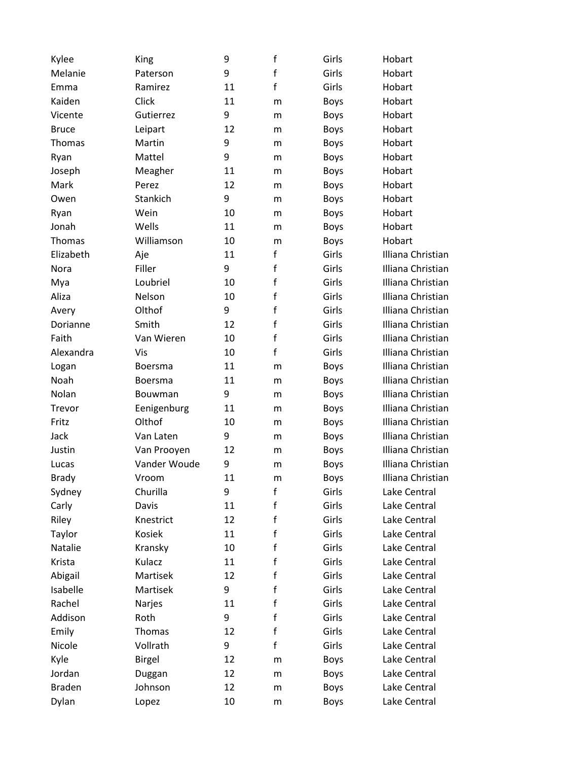| Kylee         | King           | 9  | $\mathsf f$  | Girls       | Hobart            |
|---------------|----------------|----|--------------|-------------|-------------------|
| Melanie       | Paterson       | 9  | f            | Girls       | Hobart            |
| Emma          | Ramirez        | 11 | $\mathbf f$  | Girls       | Hobart            |
| Kaiden        | Click          | 11 | m            | <b>Boys</b> | Hobart            |
| Vicente       | Gutierrez      | 9  | m            | <b>Boys</b> | Hobart            |
| <b>Bruce</b>  | Leipart        | 12 | m            | <b>Boys</b> | Hobart            |
| Thomas        | Martin         | 9  | m            | <b>Boys</b> | Hobart            |
| Ryan          | Mattel         | 9  | m            | <b>Boys</b> | Hobart            |
| Joseph        | Meagher        | 11 | m            | <b>Boys</b> | Hobart            |
| Mark          | Perez          | 12 | m            | <b>Boys</b> | Hobart            |
| Owen          | Stankich       | 9  | m            | <b>Boys</b> | Hobart            |
| Ryan          | Wein           | 10 | m            | <b>Boys</b> | Hobart            |
| Jonah         | Wells          | 11 | m            | <b>Boys</b> | Hobart            |
| Thomas        | Williamson     | 10 | m            | <b>Boys</b> | Hobart            |
| Elizabeth     | Aje            | 11 | $\mathbf f$  | Girls       | Illiana Christian |
| Nora          | Filler         | 9  | f            | Girls       | Illiana Christian |
| Mya           | Loubriel       | 10 | f            | Girls       | Illiana Christian |
| Aliza         | Nelson         | 10 | f            | Girls       | Illiana Christian |
| Avery         | Olthof         | 9  | f            | Girls       | Illiana Christian |
| Dorianne      | Smith          | 12 | f            | Girls       | Illiana Christian |
| Faith         | Van Wieren     | 10 | f            | Girls       | Illiana Christian |
| Alexandra     | Vis            | 10 | $\mathsf{f}$ | Girls       | Illiana Christian |
| Logan         | <b>Boersma</b> | 11 | m            | <b>Boys</b> | Illiana Christian |
| Noah          | <b>Boersma</b> | 11 | m            | <b>Boys</b> | Illiana Christian |
| Nolan         | Bouwman        | 9  | m            | <b>Boys</b> | Illiana Christian |
| Trevor        | Eenigenburg    | 11 | m            | <b>Boys</b> | Illiana Christian |
| Fritz         | Olthof         | 10 | m            | <b>Boys</b> | Illiana Christian |
| Jack          | Van Laten      | 9  | m            | <b>Boys</b> | Illiana Christian |
| Justin        | Van Prooyen    | 12 | m            | <b>Boys</b> | Illiana Christian |
| Lucas         | Vander Woude   | 9  | m            | <b>Boys</b> | Illiana Christian |
| Brady         | Vroom          | 11 | m            | <b>Boys</b> | Illiana Christian |
| Sydney        | Churilla       | 9  | f            | Girls       | Lake Central      |
| Carly         | Davis          | 11 | f            | Girls       | Lake Central      |
| Riley         | Knestrict      | 12 | f            | Girls       | Lake Central      |
| Taylor        | Kosiek         | 11 | f            | Girls       | Lake Central      |
| Natalie       | Kransky        | 10 | f            | Girls       | Lake Central      |
| Krista        | Kulacz         | 11 | f            | Girls       | Lake Central      |
| Abigail       | Martisek       | 12 | f            | Girls       | Lake Central      |
| Isabelle      | Martisek       | 9  | f            | Girls       | Lake Central      |
| Rachel        | Narjes         | 11 | f            | Girls       | Lake Central      |
| Addison       | Roth           | 9  | f            | Girls       | Lake Central      |
| Emily         | Thomas         | 12 | $\mathbf f$  | Girls       | Lake Central      |
| Nicole        | Vollrath       | 9  | f            | Girls       | Lake Central      |
| Kyle          | <b>Birgel</b>  | 12 | m            | <b>Boys</b> | Lake Central      |
| Jordan        | Duggan         | 12 | m            | <b>Boys</b> | Lake Central      |
| <b>Braden</b> | Johnson        | 12 | m            | <b>Boys</b> | Lake Central      |
| Dylan         | Lopez          | 10 | ${\sf m}$    | <b>Boys</b> | Lake Central      |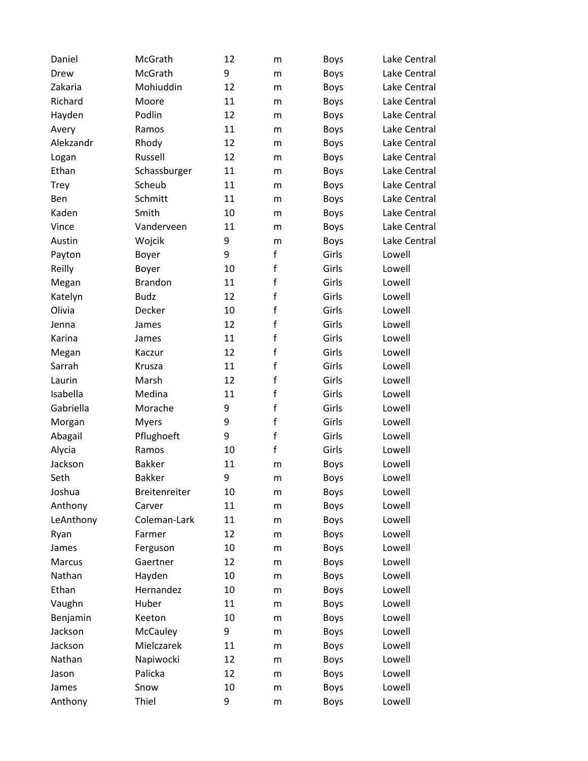| Daniel    | McGrath         | 12 | m            | <b>Boys</b> | Lake Central |
|-----------|-----------------|----|--------------|-------------|--------------|
| Drew      | McGrath         | 9  | m            | <b>Boys</b> | Lake Central |
| Zakaria   | Mohiuddin       | 12 | m            | <b>Boys</b> | Lake Central |
| Richard   | Moore           | 11 | m            | <b>Boys</b> | Lake Central |
| Hayden    | Podlin          | 12 | m            | <b>Boys</b> | Lake Central |
| Avery     | Ramos           | 11 | m            | <b>Boys</b> | Lake Central |
| Alekzandr | Rhody           | 12 | m            | <b>Boys</b> | Lake Central |
| Logan     | Russell         | 12 | m            | <b>Boys</b> | Lake Central |
| Ethan     | Schassburger    | 11 | m            | <b>Boys</b> | Lake Central |
| Trey      | Scheub          | 11 | m            | <b>Boys</b> | Lake Central |
| Ben       | Schmitt         | 11 | m            | <b>Boys</b> | Lake Central |
| Kaden     | Smith           | 10 | m            | <b>Boys</b> | Lake Central |
| Vince     | Vanderveen      | 11 | m            | <b>Boys</b> | Lake Central |
| Austin    | Wojcik          | 9  | m            | <b>Boys</b> | Lake Central |
| Payton    | Boyer           | 9  | f            | Girls       | Lowell       |
| Reilly    | Boyer           | 10 | f            | Girls       | Lowell       |
| Megan     | <b>Brandon</b>  | 11 | $\mathsf f$  | Girls       | Lowell       |
| Katelyn   | <b>Budz</b>     | 12 | f            | Girls       | Lowell       |
| Olivia    | Decker          | 10 | f            | Girls       | Lowell       |
| Jenna     | James           | 12 | f            | Girls       | Lowell       |
| Karina    | James           | 11 | f            | Girls       | Lowell       |
| Megan     | Kaczur          | 12 | $\mathsf{f}$ | Girls       | Lowell       |
| Sarrah    | Krusza          | 11 | $\mathsf{f}$ | Girls       | Lowell       |
| Laurin    | Marsh           | 12 | f            | Girls       | Lowell       |
| Isabella  | Medina          | 11 | f            | Girls       | Lowell       |
| Gabriella | Morache         | 9  | f            | Girls       | Lowell       |
| Morgan    | <b>Myers</b>    | 9  | f            | Girls       | Lowell       |
| Abagail   | Pflughoeft      | 9  | $\mathsf f$  | Girls       | Lowell       |
| Alycia    | Ramos           | 10 | f            | Girls       | Lowell       |
| Jackson   | <b>Bakker</b>   | 11 | m            | <b>Boys</b> | Lowell       |
| Seth      | <b>Bakker</b>   | 9  | m            | <b>Boys</b> | Lowell       |
| Joshua    | Breitenreiter   | 10 | m            | <b>Boys</b> | Lowell       |
| Anthony   | Carver          | 11 | m            | <b>Boys</b> | Lowell       |
| LeAnthony | Coleman-Lark    | 11 | m            | <b>Boys</b> | Lowell       |
| Ryan      | Farmer          | 12 | m            | <b>Boys</b> | Lowell       |
| James     | Ferguson        | 10 | m            | <b>Boys</b> | Lowell       |
| Marcus    | Gaertner        | 12 | m            | <b>Boys</b> | Lowell       |
| Nathan    | Hayden          | 10 | m            | <b>Boys</b> | Lowell       |
| Ethan     | Hernandez       | 10 | m            | <b>Boys</b> | Lowell       |
| Vaughn    | Huber           | 11 | m            | <b>Boys</b> | Lowell       |
| Benjamin  | Keeton          | 10 | m            | <b>Boys</b> | Lowell       |
| Jackson   | <b>McCauley</b> | 9  | m            | <b>Boys</b> | Lowell       |
| Jackson   | Mielczarek      | 11 | m            | <b>Boys</b> | Lowell       |
| Nathan    | Napiwocki       | 12 | m            | <b>Boys</b> | Lowell       |
| Jason     | Palicka         | 12 | m            | <b>Boys</b> | Lowell       |
| James     | Snow            | 10 | m            | <b>Boys</b> | Lowell       |
| Anthony   | Thiel           | 9  | m            | <b>Boys</b> | Lowell       |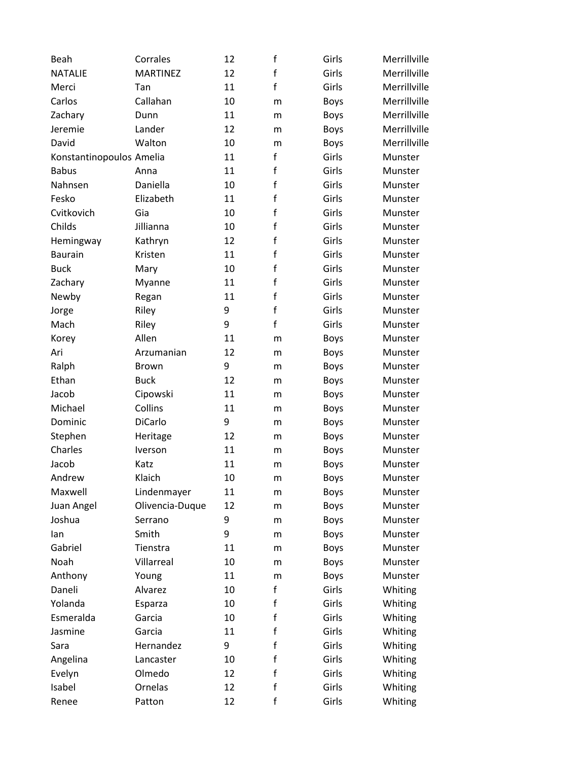| Beah                     | Corrales        | 12 | $\mathsf f$  | Girls       | Merrillville |
|--------------------------|-----------------|----|--------------|-------------|--------------|
| <b>NATALIE</b>           | <b>MARTINEZ</b> | 12 | $\mathsf{f}$ | Girls       | Merrillville |
| Merci                    | Tan             | 11 | $\mathsf{f}$ | Girls       | Merrillville |
| Carlos                   | Callahan        | 10 | m            | <b>Boys</b> | Merrillville |
| Zachary                  | Dunn            | 11 | m            | <b>Boys</b> | Merrillville |
| Jeremie                  | Lander          | 12 | m            | Boys        | Merrillville |
| David                    | Walton          | 10 | m            | Boys        | Merrillville |
| Konstantinopoulos Amelia |                 | 11 | $\mathsf f$  | Girls       | Munster      |
| <b>Babus</b>             | Anna            | 11 | $\mathsf{f}$ | Girls       | Munster      |
| Nahnsen                  | Daniella        | 10 | $\mathsf f$  | Girls       | Munster      |
| Fesko                    | Elizabeth       | 11 | $\mathsf f$  | Girls       | Munster      |
| Cvitkovich               | Gia             | 10 | $\mathsf f$  | Girls       | Munster      |
| Childs                   | Jillianna       | 10 | $\mathsf{f}$ | Girls       | Munster      |
| Hemingway                | Kathryn         | 12 | $\mathsf{f}$ | Girls       | Munster      |
| <b>Baurain</b>           | Kristen         | 11 | $\mathsf f$  | Girls       | Munster      |
| <b>Buck</b>              | Mary            | 10 | $\mathsf{f}$ | Girls       | Munster      |
| Zachary                  | Myanne          | 11 | $\mathsf f$  | Girls       | Munster      |
| Newby                    | Regan           | 11 | $\mathsf f$  | Girls       | Munster      |
| Jorge                    | Riley           | 9  | $\mathsf{f}$ | Girls       | Munster      |
| Mach                     | Riley           | 9  | $\mathsf{f}$ | Girls       | Munster      |
| Korey                    | Allen           | 11 | m            | Boys        | Munster      |
| Ari                      | Arzumanian      | 12 | m            | <b>Boys</b> | Munster      |
| Ralph                    | <b>Brown</b>    | 9  | m            | <b>Boys</b> | Munster      |
| Ethan                    | <b>Buck</b>     | 12 | m            | Boys        | Munster      |
| Jacob                    | Cipowski        | 11 | m            | <b>Boys</b> | Munster      |
| Michael                  | Collins         | 11 | m            | Boys        | Munster      |
| Dominic                  | DiCarlo         | 9  | m            | <b>Boys</b> | Munster      |
| Stephen                  | Heritage        | 12 | m            | <b>Boys</b> | Munster      |
| Charles                  | Iverson         | 11 | m            | Boys        | Munster      |
| Jacob                    | Katz            | 11 | m            | <b>Boys</b> | Munster      |
| Andrew                   | Klaich          | 10 | m            | <b>Boys</b> | Munster      |
| Maxwell                  | Lindenmayer     | 11 | m            | <b>Boys</b> | Munster      |
| Juan Angel               | Olivencia-Duque | 12 | m            | Boys        | Munster      |
| Joshua                   | Serrano         | 9  | m            | <b>Boys</b> | Munster      |
| lan                      | Smith           | 9  | m            | <b>Boys</b> | Munster      |
| Gabriel                  | Tienstra        | 11 | m            | <b>Boys</b> | Munster      |
| Noah                     | Villarreal      | 10 | m            | Boys        | Munster      |
| Anthony                  | Young           | 11 | m            | Boys        | Munster      |
| Daneli                   | Alvarez         | 10 | f            | Girls       | Whiting      |
| Yolanda                  | Esparza         | 10 | f            | Girls       | Whiting      |
| Esmeralda                | Garcia          | 10 | f            | Girls       | Whiting      |
| Jasmine                  | Garcia          | 11 | f            | Girls       | Whiting      |
| Sara                     | Hernandez       | 9  | f            | Girls       | Whiting      |
| Angelina                 | Lancaster       | 10 | f            | Girls       | Whiting      |
| Evelyn                   | Olmedo          | 12 | f            | Girls       | Whiting      |
| Isabel                   | Ornelas         | 12 | $\mathsf f$  | Girls       | Whiting      |
| Renee                    | Patton          | 12 | f            | Girls       | Whiting      |